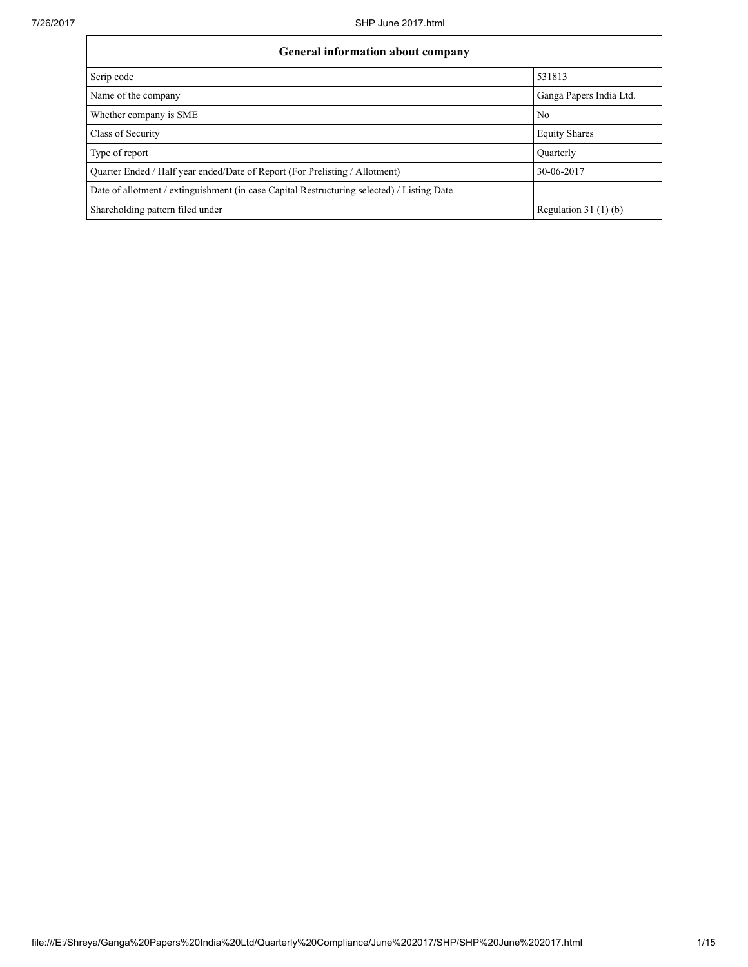| <b>General information about company</b>                                                   |                         |  |  |  |  |  |  |
|--------------------------------------------------------------------------------------------|-------------------------|--|--|--|--|--|--|
| Scrip code                                                                                 | 531813                  |  |  |  |  |  |  |
| Name of the company                                                                        | Ganga Papers India Ltd. |  |  |  |  |  |  |
| Whether company is SME                                                                     | N <sub>0</sub>          |  |  |  |  |  |  |
| Class of Security                                                                          | <b>Equity Shares</b>    |  |  |  |  |  |  |
| Type of report                                                                             | Ouarterly               |  |  |  |  |  |  |
| Ouarter Ended / Half year ended/Date of Report (For Prelisting / Allotment)                | 30-06-2017              |  |  |  |  |  |  |
| Date of allotment / extinguishment (in case Capital Restructuring selected) / Listing Date |                         |  |  |  |  |  |  |
| Shareholding pattern filed under                                                           | Regulation 31 $(1)(b)$  |  |  |  |  |  |  |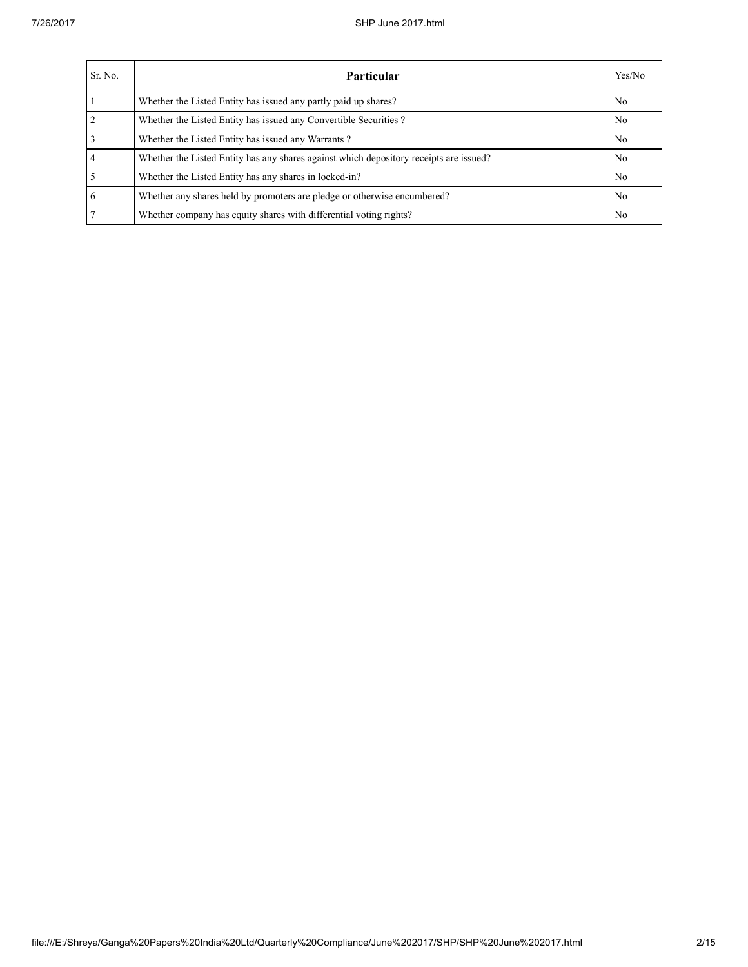| Sr. No.        | Yes/No<br>Particular                                                                   |                |  |  |  |  |  |  |
|----------------|----------------------------------------------------------------------------------------|----------------|--|--|--|--|--|--|
|                | Whether the Listed Entity has issued any partly paid up shares?                        | No             |  |  |  |  |  |  |
| $\overline{2}$ | Whether the Listed Entity has issued any Convertible Securities?                       | N <sub>0</sub> |  |  |  |  |  |  |
| $\overline{3}$ | Whether the Listed Entity has issued any Warrants?                                     | N <sub>0</sub> |  |  |  |  |  |  |
| $\overline{4}$ | Whether the Listed Entity has any shares against which depository receipts are issued? | No             |  |  |  |  |  |  |
| $\overline{5}$ | Whether the Listed Entity has any shares in locked-in?                                 | N <sub>0</sub> |  |  |  |  |  |  |
| 6              | Whether any shares held by promoters are pledge or otherwise encumbered?               | N <sub>0</sub> |  |  |  |  |  |  |
| $\overline{7}$ | Whether company has equity shares with differential voting rights?                     | No             |  |  |  |  |  |  |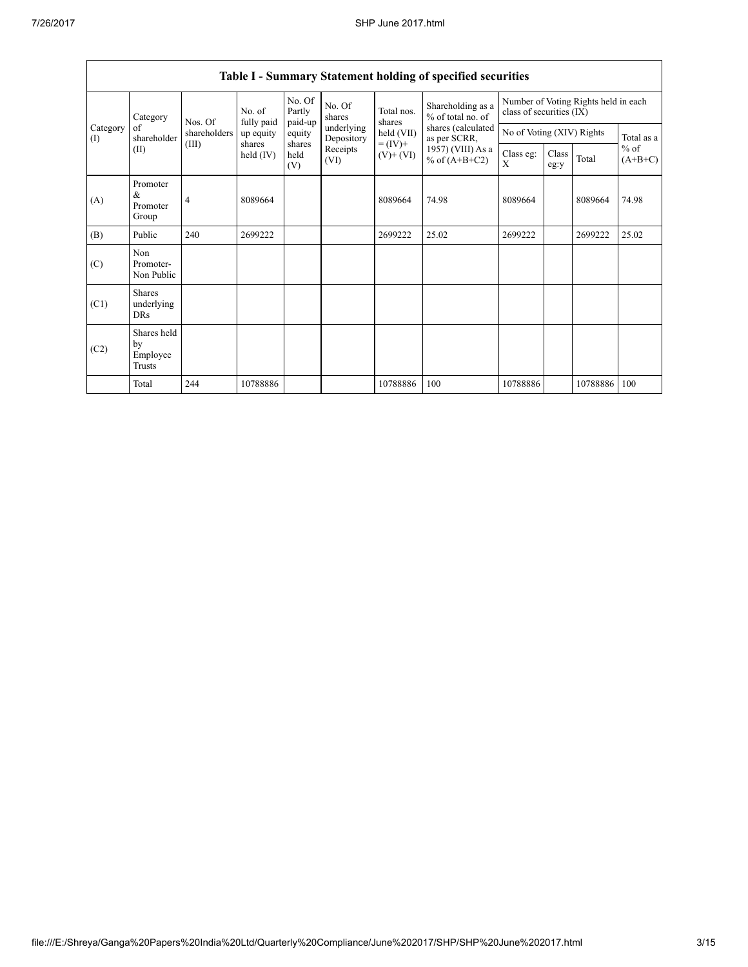| Category        | No. of<br>Nos. Of                         | fully paid                                                                                                | No. Of<br>Partly<br>paid-up          | No. Of<br>shares | Total nos.<br>shares     | Shareholding as a<br>% of total no. of | Number of Voting Rights held in each<br>class of securities (IX) |                           |  |          |            |
|-----------------|-------------------------------------------|-----------------------------------------------------------------------------------------------------------|--------------------------------------|------------------|--------------------------|----------------------------------------|------------------------------------------------------------------|---------------------------|--|----------|------------|
| Category<br>(I) | of<br>shareholder                         | shareholders                                                                                              | up equity                            | equity           | underlying<br>Depository | held (VII)                             | shares (calculated<br>as per SCRR,                               | No of Voting (XIV) Rights |  |          | Total as a |
|                 | (II)                                      | $= (IV) +$<br>(III)<br>shares<br>shares<br>Receipts<br>held (IV)<br>held<br>$(V)$ + $(VI)$<br>(VI)<br>(V) | 1957) (VIII) As a<br>% of $(A+B+C2)$ | Class eg:<br>X   | Class<br>eg:y            | Total                                  | $%$ of<br>$(A+B+C)$                                              |                           |  |          |            |
| (A)             | Promoter<br>&<br>Promoter<br>Group        | 4                                                                                                         | 8089664                              |                  |                          | 8089664                                | 74.98                                                            | 8089664                   |  | 8089664  | 74.98      |
| (B)             | Public                                    | 240                                                                                                       | 2699222                              |                  |                          | 2699222                                | 25.02                                                            | 2699222                   |  | 2699222  | 25.02      |
| (C)             | Non<br>Promoter-<br>Non Public            |                                                                                                           |                                      |                  |                          |                                        |                                                                  |                           |  |          |            |
| (C1)            | <b>Shares</b><br>underlying<br><b>DRs</b> |                                                                                                           |                                      |                  |                          |                                        |                                                                  |                           |  |          |            |
| (C2)            | Shares held<br>by<br>Employee<br>Trusts   |                                                                                                           |                                      |                  |                          |                                        |                                                                  |                           |  |          |            |
|                 | Total                                     | 244                                                                                                       | 10788886                             |                  |                          | 10788886                               | 100                                                              | 10788886                  |  | 10788886 | 100        |

## Table I - Summary Statement holding of specified securities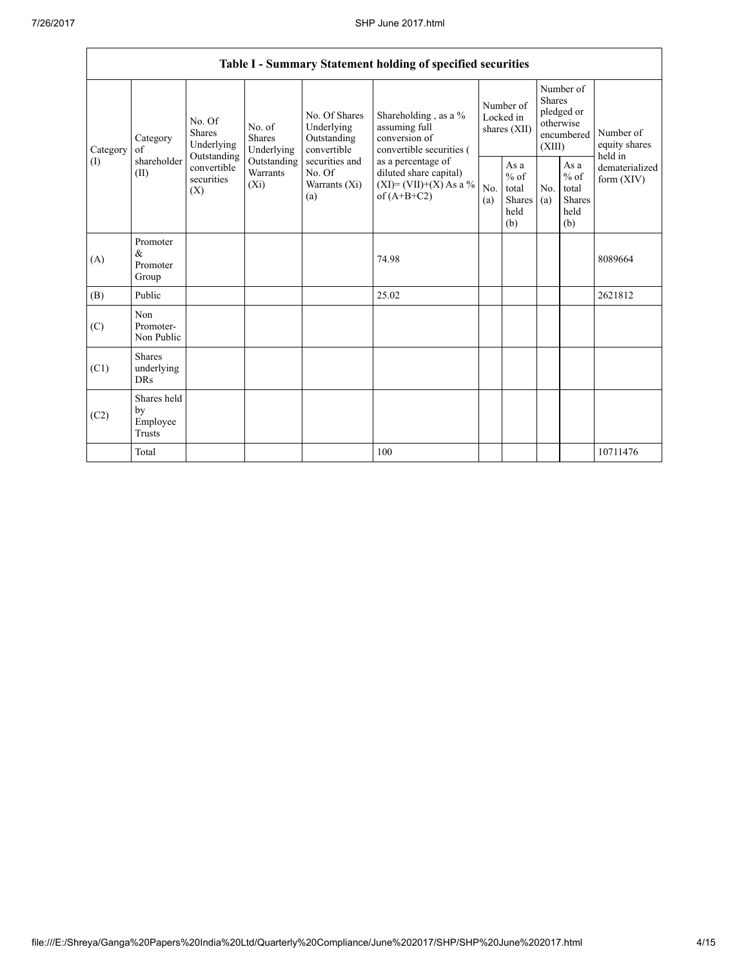|          | Table I - Summary Statement holding of specified securities |                                                                                                                                                                                                                                         |                                       |                                                           |                                                                                    |                                                         |                                           |                                                                        |  |                            |
|----------|-------------------------------------------------------------|-----------------------------------------------------------------------------------------------------------------------------------------------------------------------------------------------------------------------------------------|---------------------------------------|-----------------------------------------------------------|------------------------------------------------------------------------------------|---------------------------------------------------------|-------------------------------------------|------------------------------------------------------------------------|--|----------------------------|
|          |                                                             |                                                                                                                                                                                                                                         |                                       |                                                           |                                                                                    |                                                         |                                           |                                                                        |  |                            |
| Category | <b>Shares</b><br>Category<br>of                             | No. Of<br>Underlying                                                                                                                                                                                                                    | No. of<br><b>Shares</b><br>Underlying | No. Of Shares<br>Underlying<br>Outstanding<br>convertible | Shareholding, as a %<br>assuming full<br>conversion of<br>convertible securities ( | Number of<br>Locked in<br>shares (XII)                  |                                           | Number of<br>Shares<br>pledged or<br>otherwise<br>encumbered<br>(XIII) |  | Number of<br>equity shares |
| (1)      | shareholder<br>(II)                                         | Outstanding<br>Outstanding<br>securities and<br>as a percentage of<br>convertible<br>Warrants<br>No. Of<br>diluted share capital)<br>securities<br>$(X_i)$<br>$(XI) = (VII)+(X) As a %$<br>Warrants (Xi)<br>(X)<br>of $(A+B+C2)$<br>(a) | No.<br>(a)                            | As a<br>$%$ of<br>total<br>Shares<br>held<br>(b)          | No.<br>(a)                                                                         | As a<br>$%$ of<br>total<br><b>Shares</b><br>held<br>(b) | held in<br>dematerialized<br>form $(XIV)$ |                                                                        |  |                            |
| (A)      | Promoter<br>&<br>Promoter<br>Group                          |                                                                                                                                                                                                                                         |                                       |                                                           | 74.98                                                                              |                                                         |                                           |                                                                        |  | 8089664                    |
| (B)      | Public                                                      |                                                                                                                                                                                                                                         |                                       |                                                           | 25.02                                                                              |                                                         |                                           |                                                                        |  | 2621812                    |
| (C)      | Non<br>Promoter-<br>Non Public                              |                                                                                                                                                                                                                                         |                                       |                                                           |                                                                                    |                                                         |                                           |                                                                        |  |                            |
| (C1)     | <b>Shares</b><br>underlying<br><b>DRs</b>                   |                                                                                                                                                                                                                                         |                                       |                                                           |                                                                                    |                                                         |                                           |                                                                        |  |                            |
| (C2)     | Shares held<br>by<br>Employee<br><b>Trusts</b>              |                                                                                                                                                                                                                                         |                                       |                                                           |                                                                                    |                                                         |                                           |                                                                        |  |                            |
|          | Total                                                       |                                                                                                                                                                                                                                         |                                       |                                                           | 100                                                                                |                                                         |                                           |                                                                        |  | 10711476                   |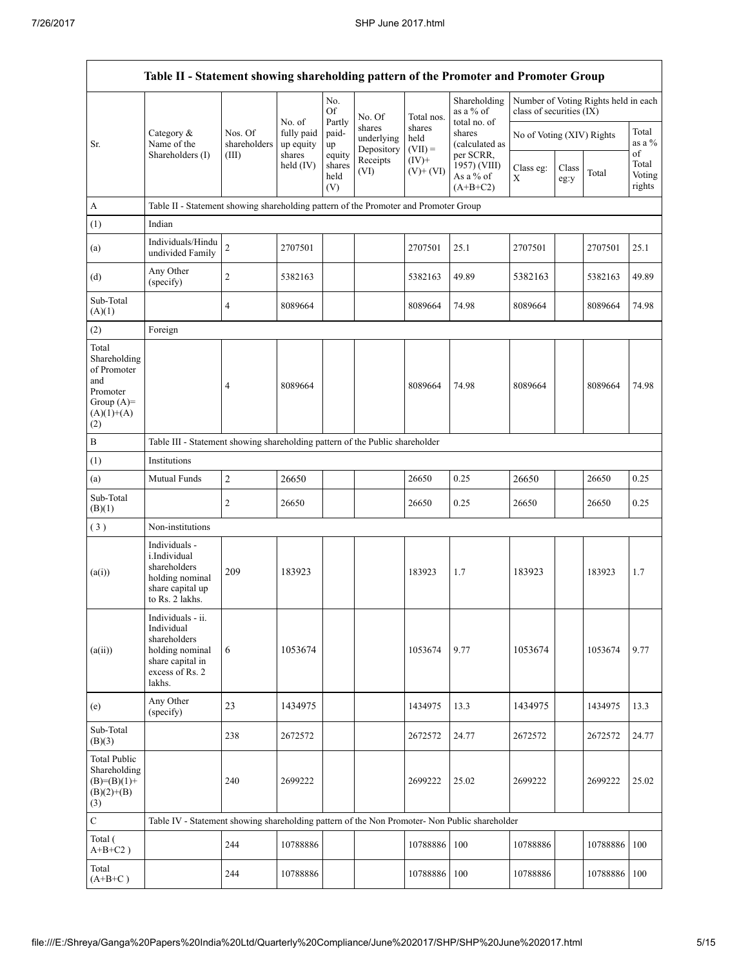|                                                                                                | Table II - Statement showing shareholding pattern of the Promoter and Promoter Group                                |                                  |                                   |                       |                                    |                             |                                           |                           |               |                                      |                           |
|------------------------------------------------------------------------------------------------|---------------------------------------------------------------------------------------------------------------------|----------------------------------|-----------------------------------|-----------------------|------------------------------------|-----------------------------|-------------------------------------------|---------------------------|---------------|--------------------------------------|---------------------------|
|                                                                                                |                                                                                                                     |                                  | No. of                            | No.<br>Of<br>Partly   | No. Of                             | Total nos.                  | Shareholding<br>as a % of<br>total no. of | class of securities (IX)  |               | Number of Voting Rights held in each |                           |
| Sr.                                                                                            | Category &<br>Name of the<br>Shareholders (I)                                                                       | Nos. Of<br>shareholders<br>(III) | fully paid<br>up equity<br>shares | paid-<br>up<br>equity | shares<br>underlying<br>Depository | shares<br>held<br>$(VII) =$ | shares<br>(calculated as<br>per SCRR,     | No of Voting (XIV) Rights |               |                                      | Total<br>as a %<br>of     |
|                                                                                                |                                                                                                                     |                                  | held $(IV)$                       | shares<br>held<br>(V) | Receipts<br>(VI)                   | $(IV)+$<br>$(V)+(VI)$       | 1957) (VIII)<br>As a % of<br>$(A+B+C2)$   | Class eg:<br>X            | Class<br>eg:y | Total                                | Total<br>Voting<br>rights |
| A                                                                                              | Table II - Statement showing shareholding pattern of the Promoter and Promoter Group                                |                                  |                                   |                       |                                    |                             |                                           |                           |               |                                      |                           |
| (1)                                                                                            | Indian                                                                                                              |                                  |                                   |                       |                                    |                             |                                           |                           |               |                                      |                           |
| (a)                                                                                            | Individuals/Hindu<br>undivided Family                                                                               | $\overline{c}$                   | 2707501                           |                       |                                    | 2707501                     | 25.1                                      | 2707501                   |               | 2707501                              | 25.1                      |
| (d)                                                                                            | Any Other<br>(specify)                                                                                              | $\overline{c}$                   | 5382163                           |                       |                                    | 5382163                     | 49.89                                     | 5382163                   |               | 5382163                              | 49.89                     |
| Sub-Total<br>(A)(1)                                                                            |                                                                                                                     | 4                                | 8089664                           |                       |                                    | 8089664                     | 74.98                                     | 8089664                   |               | 8089664                              | 74.98                     |
| (2)                                                                                            | Foreign                                                                                                             |                                  |                                   |                       |                                    |                             |                                           |                           |               |                                      |                           |
| Total<br>Shareholding<br>of Promoter<br>and<br>Promoter<br>Group $(A)=$<br>$(A)(1)+(A)$<br>(2) |                                                                                                                     | 4                                | 8089664                           |                       |                                    | 8089664                     | 74.98                                     | 8089664                   |               | 8089664                              | 74.98                     |
| $\, {\bf B}$                                                                                   | Table III - Statement showing shareholding pattern of the Public shareholder                                        |                                  |                                   |                       |                                    |                             |                                           |                           |               |                                      |                           |
| (1)                                                                                            | Institutions                                                                                                        |                                  |                                   |                       |                                    |                             |                                           |                           |               |                                      |                           |
| (a)                                                                                            | Mutual Funds                                                                                                        | $\boldsymbol{2}$                 | 26650                             |                       |                                    | 26650                       | 0.25                                      | 26650                     |               | 26650                                | 0.25                      |
| Sub-Total<br>(B)(1)                                                                            |                                                                                                                     | 2                                | 26650                             |                       |                                    | 26650                       | 0.25                                      | 26650                     |               | 26650                                | 0.25                      |
| (3)                                                                                            | Non-institutions                                                                                                    |                                  |                                   |                       |                                    |                             |                                           |                           |               |                                      |                           |
| (a(i))                                                                                         | Individuals -<br>i.Individual<br>shareholders<br>holding nominal<br>share capital up<br>to Rs. 2 lakhs.             | 209                              | 183923                            |                       |                                    | 183923                      | 1.7                                       | 183923                    |               | 183923                               | 1.7                       |
| (a(ii))                                                                                        | Individuals - ii.<br>Individual<br>shareholders<br>holding nominal<br>share capital in<br>excess of Rs. 2<br>lakhs. | 6                                | 1053674                           |                       |                                    | 1053674                     | 9.77                                      | 1053674                   |               | 1053674                              | 9.77                      |
| (e)                                                                                            | Any Other<br>(specify)                                                                                              | 23                               | 1434975                           |                       |                                    | 1434975                     | 13.3                                      | 1434975                   |               | 1434975                              | 13.3                      |
| Sub-Total<br>(B)(3)                                                                            |                                                                                                                     | 238                              | 2672572                           |                       |                                    | 2672572                     | 24.77                                     | 2672572                   |               | 2672572                              | 24.77                     |
| <b>Total Public</b><br>Shareholding<br>$(B)=(B)(1)+$<br>$(B)(2)+(B)$<br>(3)                    |                                                                                                                     | 240                              | 2699222                           |                       |                                    | 2699222                     | 25.02                                     | 2699222                   |               | 2699222                              | 25.02                     |
| $\mathbf C$                                                                                    | Table IV - Statement showing shareholding pattern of the Non Promoter- Non Public shareholder                       |                                  |                                   |                       |                                    |                             |                                           |                           |               |                                      |                           |
| Total (<br>$A+B+C2$ )                                                                          |                                                                                                                     | 244                              | 10788886                          |                       |                                    | 10788886                    | 100                                       | 10788886                  |               | 10788886                             | 100                       |
| Total<br>$(A+B+C)$                                                                             |                                                                                                                     | 244                              | 10788886                          |                       |                                    | 10788886                    | 100                                       | 10788886                  |               | 10788886                             | 100                       |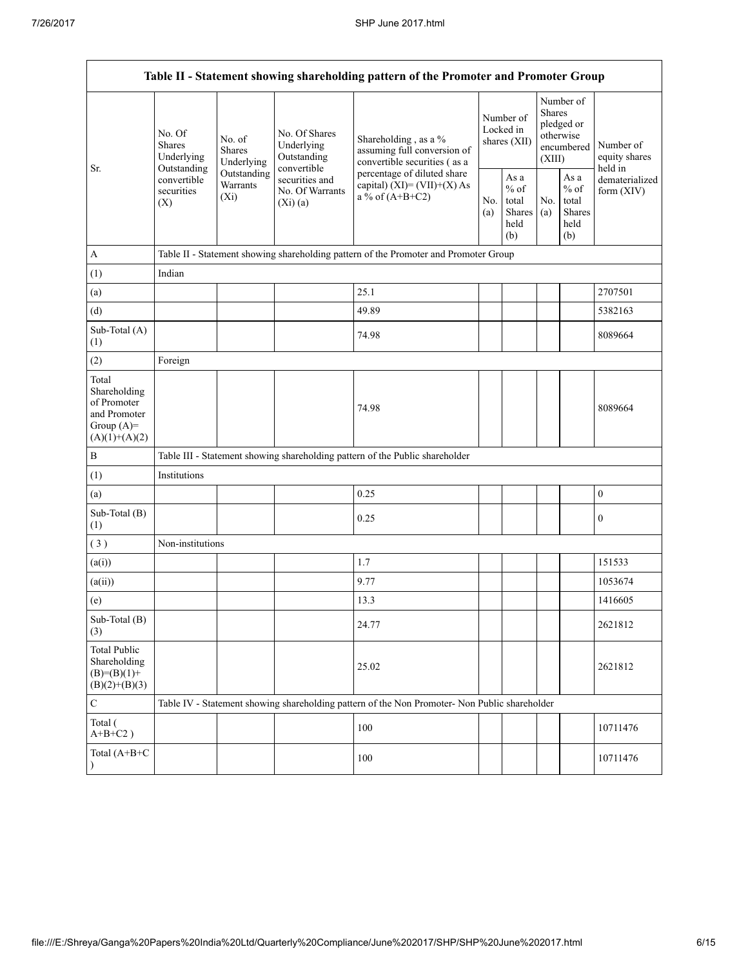| Table II - Statement showing shareholding pattern of the Promoter and Promoter Group    |                                                                                                                                                                         |                                                           |                                                                                     |                                                                                               |  |                                                                        |            |                                                  |                                |
|-----------------------------------------------------------------------------------------|-------------------------------------------------------------------------------------------------------------------------------------------------------------------------|-----------------------------------------------------------|-------------------------------------------------------------------------------------|-----------------------------------------------------------------------------------------------|--|------------------------------------------------------------------------|------------|--------------------------------------------------|--------------------------------|
| Sr.                                                                                     | No. Of<br>No. of<br><b>Shares</b><br><b>Shares</b><br>Underlying<br>Underlying<br>Outstanding<br>Outstanding<br>convertible<br>Warrants<br>securities<br>$(X_i)$<br>(X) | No. Of Shares<br>Underlying<br>Outstanding<br>convertible | Shareholding, as a %<br>assuming full conversion of<br>convertible securities (as a | Number of<br>Locked in<br>shares $(XII)$                                                      |  | Number of<br>Shares<br>pledged or<br>otherwise<br>encumbered<br>(XIII) |            | Number of<br>equity shares<br>held in            |                                |
|                                                                                         |                                                                                                                                                                         |                                                           | securities and<br>No. Of Warrants<br>(Xi)(a)                                        | percentage of diluted share<br>capital) $(XI) = (VII)+(X) As$<br>a % of $(A+B+C2)$            |  | As a<br>$%$ of<br>total<br>Shares<br>held<br>(b)                       | No.<br>(a) | As a<br>$%$ of<br>total<br>Shares<br>held<br>(b) | dematerialized<br>form $(XIV)$ |
| A                                                                                       |                                                                                                                                                                         |                                                           |                                                                                     | Table II - Statement showing shareholding pattern of the Promoter and Promoter Group          |  |                                                                        |            |                                                  |                                |
| (1)                                                                                     | Indian                                                                                                                                                                  |                                                           |                                                                                     |                                                                                               |  |                                                                        |            |                                                  |                                |
| (a)                                                                                     |                                                                                                                                                                         |                                                           |                                                                                     | 25.1                                                                                          |  |                                                                        |            |                                                  | 2707501                        |
| (d)                                                                                     |                                                                                                                                                                         |                                                           |                                                                                     | 49.89                                                                                         |  |                                                                        |            |                                                  | 5382163                        |
| Sub-Total (A)<br>(1)                                                                    |                                                                                                                                                                         |                                                           |                                                                                     | 74.98                                                                                         |  |                                                                        |            |                                                  | 8089664                        |
| (2)                                                                                     | Foreign                                                                                                                                                                 |                                                           |                                                                                     |                                                                                               |  |                                                                        |            |                                                  |                                |
| Total<br>Shareholding<br>of Promoter<br>and Promoter<br>Group $(A)=$<br>$(A)(1)+(A)(2)$ |                                                                                                                                                                         |                                                           |                                                                                     | 74.98                                                                                         |  |                                                                        |            |                                                  | 8089664                        |
| $\, {\bf B}$                                                                            |                                                                                                                                                                         |                                                           |                                                                                     | Table III - Statement showing shareholding pattern of the Public shareholder                  |  |                                                                        |            |                                                  |                                |
| (1)                                                                                     | Institutions                                                                                                                                                            |                                                           |                                                                                     |                                                                                               |  |                                                                        |            |                                                  |                                |
| (a)                                                                                     |                                                                                                                                                                         |                                                           |                                                                                     | 0.25                                                                                          |  |                                                                        |            |                                                  | $\boldsymbol{0}$               |
| Sub-Total (B)<br>(1)                                                                    |                                                                                                                                                                         |                                                           |                                                                                     | 0.25                                                                                          |  |                                                                        |            |                                                  | $\boldsymbol{0}$               |
| (3)                                                                                     | Non-institutions                                                                                                                                                        |                                                           |                                                                                     |                                                                                               |  |                                                                        |            |                                                  |                                |
| (a(i))                                                                                  |                                                                                                                                                                         |                                                           |                                                                                     | 1.7                                                                                           |  |                                                                        |            |                                                  | 151533                         |
| (a(ii))                                                                                 |                                                                                                                                                                         |                                                           |                                                                                     | 9.77                                                                                          |  |                                                                        |            |                                                  | 1053674                        |
| (e)                                                                                     |                                                                                                                                                                         |                                                           |                                                                                     | 13.3                                                                                          |  |                                                                        |            |                                                  | 1416605                        |
| Sub-Total (B)<br>(3)                                                                    |                                                                                                                                                                         |                                                           |                                                                                     | 24.77                                                                                         |  |                                                                        |            |                                                  | 2621812                        |
| <b>Total Public</b><br>Shareholding<br>$(B)= (B)(1) +$<br>$(B)(2)+(B)(3)$               |                                                                                                                                                                         |                                                           |                                                                                     | 25.02                                                                                         |  |                                                                        |            |                                                  | 2621812                        |
| $\mathsf{C}$                                                                            |                                                                                                                                                                         |                                                           |                                                                                     | Table IV - Statement showing shareholding pattern of the Non Promoter- Non Public shareholder |  |                                                                        |            |                                                  |                                |
| Total (<br>$A+B+C2$ )                                                                   |                                                                                                                                                                         |                                                           |                                                                                     | 100                                                                                           |  |                                                                        |            |                                                  | 10711476                       |
| Total (A+B+C<br>$\lambda$                                                               |                                                                                                                                                                         |                                                           |                                                                                     | 100                                                                                           |  |                                                                        |            |                                                  | 10711476                       |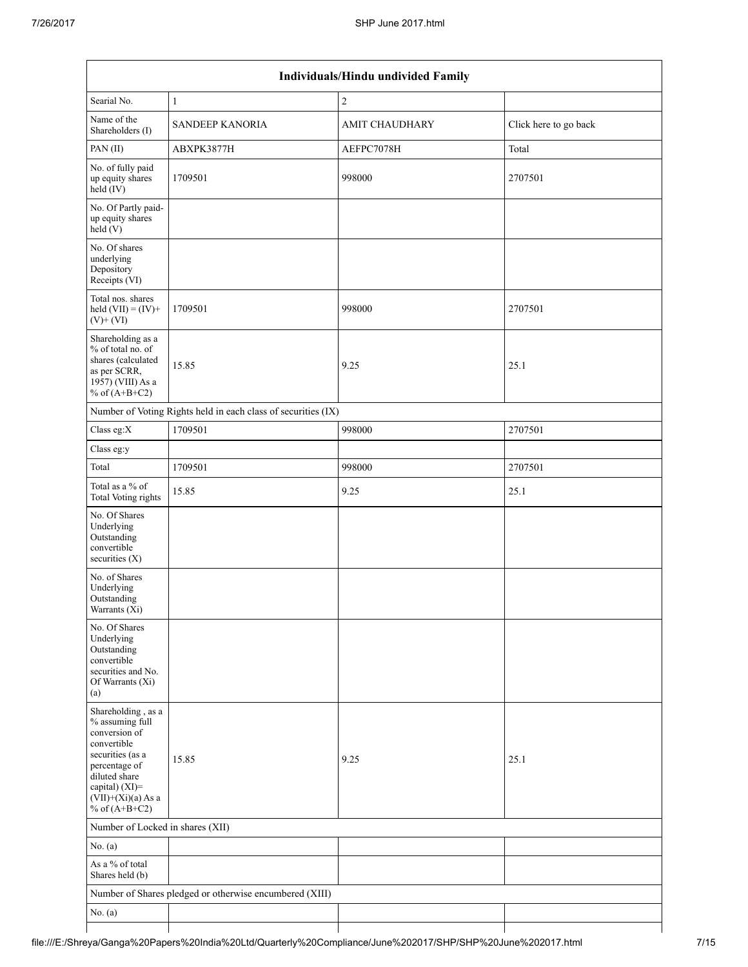| Individuals/Hindu undivided Family                                                                                                                                                       |                                                               |                       |                       |  |  |  |  |  |
|------------------------------------------------------------------------------------------------------------------------------------------------------------------------------------------|---------------------------------------------------------------|-----------------------|-----------------------|--|--|--|--|--|
| Searial No.                                                                                                                                                                              | $\mathbf{1}$                                                  | $\sqrt{2}$            |                       |  |  |  |  |  |
| Name of the<br>Shareholders (I)                                                                                                                                                          | <b>SANDEEP KANORIA</b>                                        | <b>AMIT CHAUDHARY</b> | Click here to go back |  |  |  |  |  |
| PAN(II)                                                                                                                                                                                  | ABXPK3877H                                                    | AEFPC7078H            | Total                 |  |  |  |  |  |
| No. of fully paid<br>up equity shares<br>$held$ (IV)                                                                                                                                     | 1709501                                                       | 998000                | 2707501               |  |  |  |  |  |
| No. Of Partly paid-<br>up equity shares<br>held(V)                                                                                                                                       |                                                               |                       |                       |  |  |  |  |  |
| No. Of shares<br>underlying<br>Depository<br>Receipts (VI)                                                                                                                               |                                                               |                       |                       |  |  |  |  |  |
| Total nos. shares<br>held $(VII) = (IV) +$<br>$(V)$ + $(VI)$                                                                                                                             | 1709501                                                       | 998000                | 2707501               |  |  |  |  |  |
| Shareholding as a<br>% of total no. of<br>shares (calculated<br>as per SCRR,<br>1957) (VIII) As a<br>% of $(A+B+C2)$                                                                     | 15.85                                                         | 9.25                  | 25.1                  |  |  |  |  |  |
|                                                                                                                                                                                          | Number of Voting Rights held in each class of securities (IX) |                       |                       |  |  |  |  |  |
| Class eg:X                                                                                                                                                                               | 1709501                                                       | 998000                | 2707501               |  |  |  |  |  |
| Class eg:y                                                                                                                                                                               |                                                               |                       |                       |  |  |  |  |  |
| Total                                                                                                                                                                                    | 1709501                                                       | 998000                | 2707501               |  |  |  |  |  |
| Total as a % of<br>Total Voting rights                                                                                                                                                   | 15.85                                                         | 9.25                  | 25.1                  |  |  |  |  |  |
| No. Of Shares<br>Underlying<br>Outstanding<br>convertible<br>securities (X)                                                                                                              |                                                               |                       |                       |  |  |  |  |  |
| No. of Shares<br>Underlying<br>Outstanding<br>Warrants (Xi)                                                                                                                              |                                                               |                       |                       |  |  |  |  |  |
| No. Of Shares<br>Underlying<br>Outstanding<br>convertible<br>securities and No.<br>Of Warrants (Xi)<br>(a)                                                                               |                                                               |                       |                       |  |  |  |  |  |
| Shareholding, as a<br>% assuming full<br>conversion of<br>convertible<br>securities (as a<br>percentage of<br>diluted share<br>capital) (XI)=<br>$(VII)+(Xi)(a)$ As a<br>% of $(A+B+C2)$ | 15.85                                                         | 9.25                  | 25.1                  |  |  |  |  |  |
| Number of Locked in shares (XII)                                                                                                                                                         |                                                               |                       |                       |  |  |  |  |  |
| No. (a)                                                                                                                                                                                  |                                                               |                       |                       |  |  |  |  |  |
| As a % of total<br>Shares held (b)                                                                                                                                                       |                                                               |                       |                       |  |  |  |  |  |
|                                                                                                                                                                                          | Number of Shares pledged or otherwise encumbered (XIII)       |                       |                       |  |  |  |  |  |
| No. (a)                                                                                                                                                                                  |                                                               |                       |                       |  |  |  |  |  |
|                                                                                                                                                                                          |                                                               |                       |                       |  |  |  |  |  |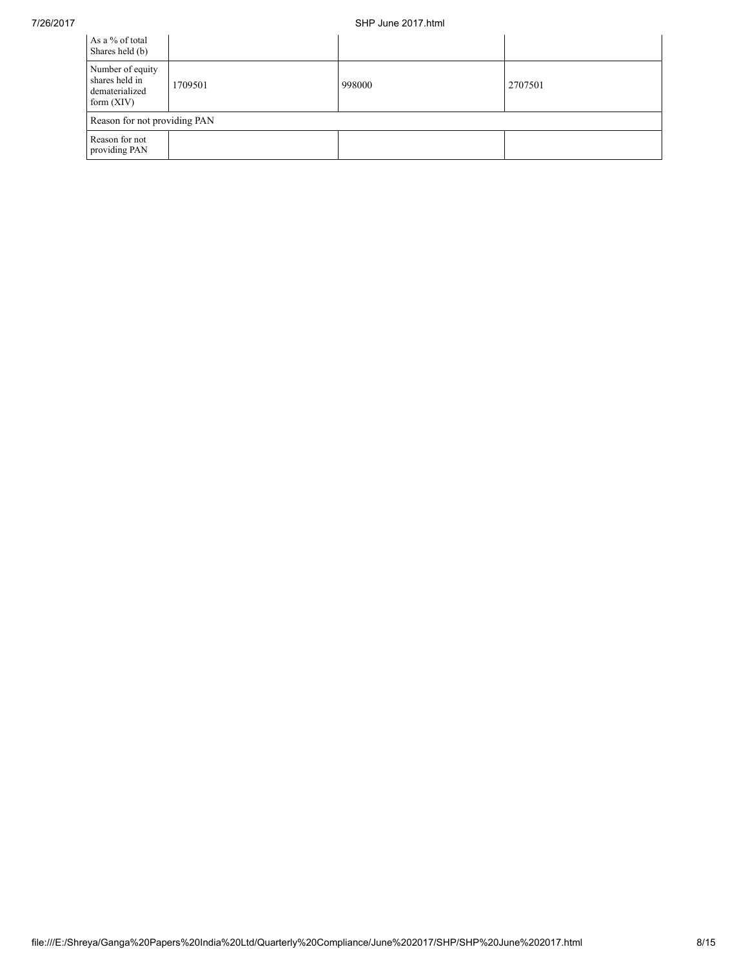## 7/26/2017 SHP June 2017.html

| As a % of total<br>Shares held (b)                                   |         |        |         |
|----------------------------------------------------------------------|---------|--------|---------|
| Number of equity<br>shares held in<br>dematerialized<br>form $(XIV)$ | 1709501 | 998000 | 2707501 |
| Reason for not providing PAN                                         |         |        |         |
| Reason for not<br>providing PAN                                      |         |        |         |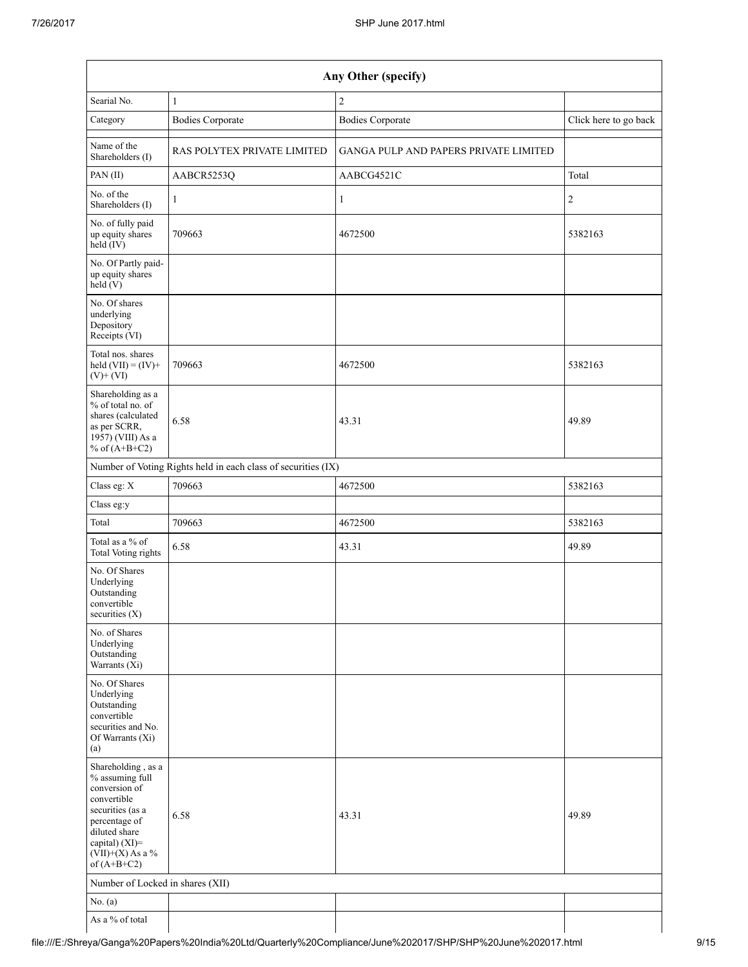| Any Other (specify)                                                                                                                                                                  |                                                               |                                       |                       |  |  |  |  |
|--------------------------------------------------------------------------------------------------------------------------------------------------------------------------------------|---------------------------------------------------------------|---------------------------------------|-----------------------|--|--|--|--|
| Searial No.                                                                                                                                                                          | 1                                                             | $\overline{c}$                        |                       |  |  |  |  |
| Category                                                                                                                                                                             | <b>Bodies Corporate</b>                                       | <b>Bodies Corporate</b>               | Click here to go back |  |  |  |  |
| Name of the<br>Shareholders (I)                                                                                                                                                      | RAS POLYTEX PRIVATE LIMITED                                   | GANGA PULP AND PAPERS PRIVATE LIMITED |                       |  |  |  |  |
| PAN(II)                                                                                                                                                                              | AABCR5253Q                                                    | AABCG4521C                            | Total                 |  |  |  |  |
| No. of the<br>Shareholders (I)                                                                                                                                                       | 1                                                             | 1                                     | $\overline{c}$        |  |  |  |  |
| No. of fully paid<br>up equity shares<br>$held$ (IV)                                                                                                                                 | 709663                                                        | 4672500                               | 5382163               |  |  |  |  |
| No. Of Partly paid-<br>up equity shares<br>held $(V)$                                                                                                                                |                                                               |                                       |                       |  |  |  |  |
| No. Of shares<br>underlying<br>Depository<br>Receipts (VI)                                                                                                                           |                                                               |                                       |                       |  |  |  |  |
| Total nos. shares<br>held $(VII) = (IV) +$<br>$(V)$ + $(VI)$                                                                                                                         | 709663                                                        | 4672500                               | 5382163               |  |  |  |  |
| Shareholding as a<br>% of total no. of<br>shares (calculated<br>as per SCRR,<br>$1957)$ (VIII) As a<br>% of $(A+B+C2)$                                                               | 6.58                                                          | 43.31                                 | 49.89                 |  |  |  |  |
|                                                                                                                                                                                      | Number of Voting Rights held in each class of securities (IX) |                                       |                       |  |  |  |  |
| Class eg: X                                                                                                                                                                          | 709663                                                        | 4672500                               | 5382163               |  |  |  |  |
| Class eg:y                                                                                                                                                                           |                                                               |                                       |                       |  |  |  |  |
| Total                                                                                                                                                                                | 709663                                                        | 4672500                               | 5382163               |  |  |  |  |
| Total as a % of<br>Total Voting rights                                                                                                                                               | 6.58                                                          | 43.31                                 | 49.89                 |  |  |  |  |
| No. Of Shares<br>Underlying<br>Outstanding<br>convertible<br>securities $(X)$                                                                                                        |                                                               |                                       |                       |  |  |  |  |
| No. of Shares<br>Underlying<br>Outstanding<br>Warrants (Xi)                                                                                                                          |                                                               |                                       |                       |  |  |  |  |
| No. Of Shares<br>Underlying<br>Outstanding<br>convertible<br>securities and No.<br>Of Warrants (Xi)<br>(a)                                                                           |                                                               |                                       |                       |  |  |  |  |
| Shareholding, as a<br>% assuming full<br>conversion of<br>convertible<br>securities (as a<br>percentage of<br>diluted share<br>capital) (XI)=<br>$(VII)+(X)$ As a %<br>of $(A+B+C2)$ | 6.58                                                          | 43.31                                 | 49.89                 |  |  |  |  |
| Number of Locked in shares (XII)                                                                                                                                                     |                                                               |                                       |                       |  |  |  |  |
| No. (a)                                                                                                                                                                              |                                                               |                                       |                       |  |  |  |  |
| As a % of total                                                                                                                                                                      |                                                               |                                       |                       |  |  |  |  |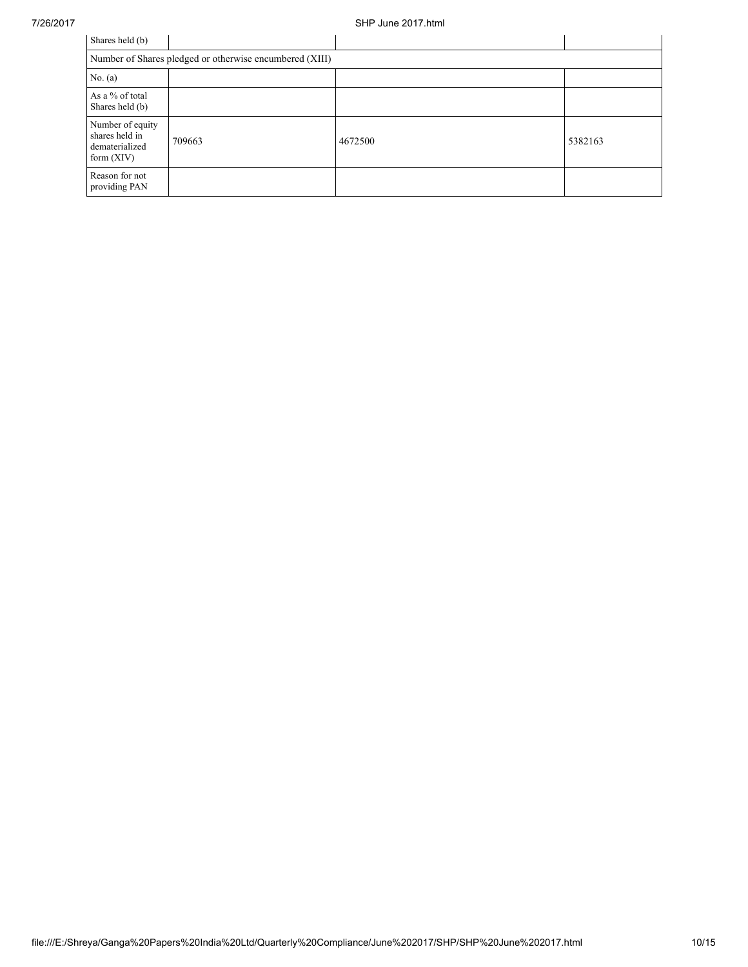| Shares held (b)                                                      |        |         |         |  |  |  |  |
|----------------------------------------------------------------------|--------|---------|---------|--|--|--|--|
| Number of Shares pledged or otherwise encumbered (XIII)              |        |         |         |  |  |  |  |
| No. (a)                                                              |        |         |         |  |  |  |  |
| As a % of total<br>Shares held (b)                                   |        |         |         |  |  |  |  |
| Number of equity<br>shares held in<br>dematerialized<br>form $(XIV)$ | 709663 | 4672500 | 5382163 |  |  |  |  |
| Reason for not<br>providing PAN                                      |        |         |         |  |  |  |  |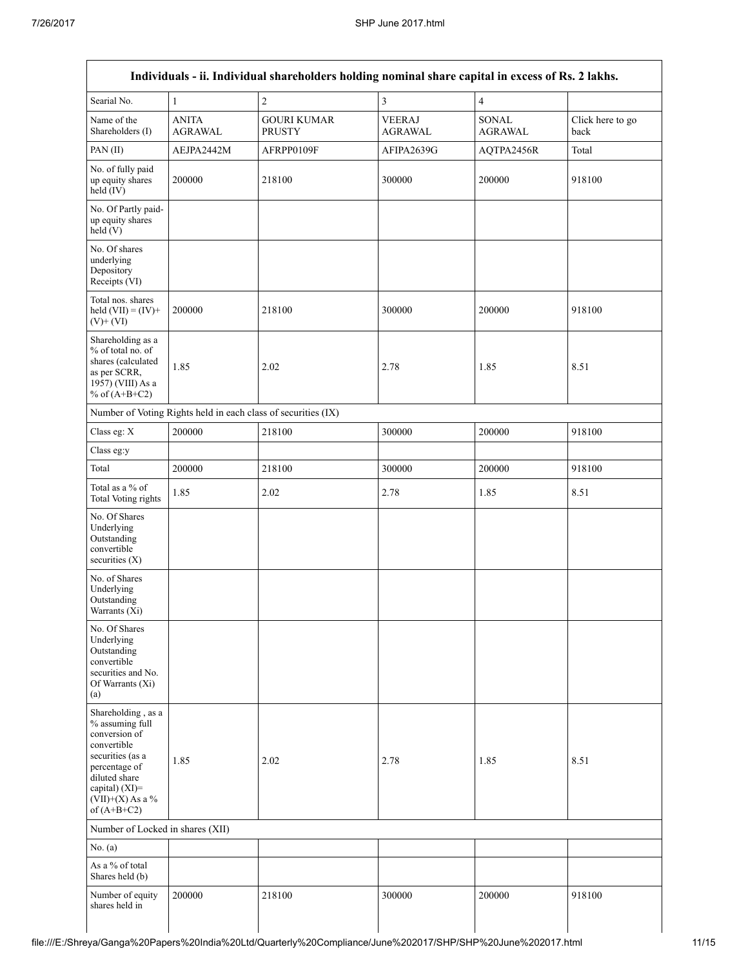|                                                                                                                                                                                      |                                | Individuals - ii. Individual shareholders holding nominal share capital in excess of Rs. 2 lakhs. |                          |                         |                          |
|--------------------------------------------------------------------------------------------------------------------------------------------------------------------------------------|--------------------------------|---------------------------------------------------------------------------------------------------|--------------------------|-------------------------|--------------------------|
| Searial No.                                                                                                                                                                          | 1                              | $\overline{c}$                                                                                    | $\overline{3}$           | $\overline{4}$          |                          |
| Name of the<br>Shareholders (I)                                                                                                                                                      | <b>ANITA</b><br><b>AGRAWAL</b> | <b>GOURI KUMAR</b><br><b>PRUSTY</b>                                                               | <b>VEERAJ</b><br>AGRAWAL | SONAL<br><b>AGRAWAL</b> | Click here to go<br>back |
| PAN(II)                                                                                                                                                                              | AEJPA2442M                     | AFRPP0109F                                                                                        | AFIPA2639G               | AQTPA2456R              | Total                    |
| No. of fully paid<br>up equity shares<br>held (IV)                                                                                                                                   | 200000                         | 218100                                                                                            | 300000                   | 200000                  | 918100                   |
| No. Of Partly paid-<br>up equity shares<br>held(V)                                                                                                                                   |                                |                                                                                                   |                          |                         |                          |
| No. Of shares<br>underlying<br>Depository<br>Receipts (VI)                                                                                                                           |                                |                                                                                                   |                          |                         |                          |
| Total nos. shares<br>held $(VII) = (IV) +$<br>$(V)+(VI)$                                                                                                                             | 200000                         | 218100                                                                                            | 300000                   | 200000                  | 918100                   |
| Shareholding as a<br>% of total no. of<br>shares (calculated<br>as per SCRR,<br>1957) (VIII) As a<br>% of $(A+B+C2)$                                                                 | 1.85                           | 2.02                                                                                              | 2.78                     | 1.85                    | 8.51                     |
|                                                                                                                                                                                      |                                | Number of Voting Rights held in each class of securities (IX)                                     |                          |                         |                          |
| Class eg: X                                                                                                                                                                          | 200000                         | 218100                                                                                            | 300000                   | 200000                  | 918100                   |
| Class eg:y                                                                                                                                                                           |                                |                                                                                                   |                          |                         |                          |
| Total                                                                                                                                                                                | 200000                         | 218100                                                                                            | 300000                   | 200000                  | 918100                   |
| Total as a $\%$ of<br><b>Total Voting rights</b>                                                                                                                                     | 1.85                           | 2.02                                                                                              | 2.78                     | 1.85                    | 8.51                     |
| No. Of Shares<br>Underlying<br>Outstanding<br>convertible<br>securities $(X)$                                                                                                        |                                |                                                                                                   |                          |                         |                          |
| No. of Shares<br>Underlying<br>Outstanding<br>Warrants $(X_i)$                                                                                                                       |                                |                                                                                                   |                          |                         |                          |
| No. Of Shares<br>Underlying<br>Outstanding<br>convertible<br>securities and No.<br>Of Warrants (Xi)<br>(a)                                                                           |                                |                                                                                                   |                          |                         |                          |
| Shareholding, as a<br>% assuming full<br>conversion of<br>convertible<br>securities (as a<br>percentage of<br>diluted share<br>capital) (XI)=<br>$(VII)+(X)$ As a %<br>of $(A+B+C2)$ | 1.85                           | 2.02                                                                                              | 2.78                     | 1.85                    | 8.51                     |
| Number of Locked in shares (XII)                                                                                                                                                     |                                |                                                                                                   |                          |                         |                          |
| No. (a)                                                                                                                                                                              |                                |                                                                                                   |                          |                         |                          |
| As a % of total<br>Shares held (b)                                                                                                                                                   |                                |                                                                                                   |                          |                         |                          |
| Number of equity<br>shares held in                                                                                                                                                   | 200000                         | 218100                                                                                            | 300000                   | 200000                  | 918100                   |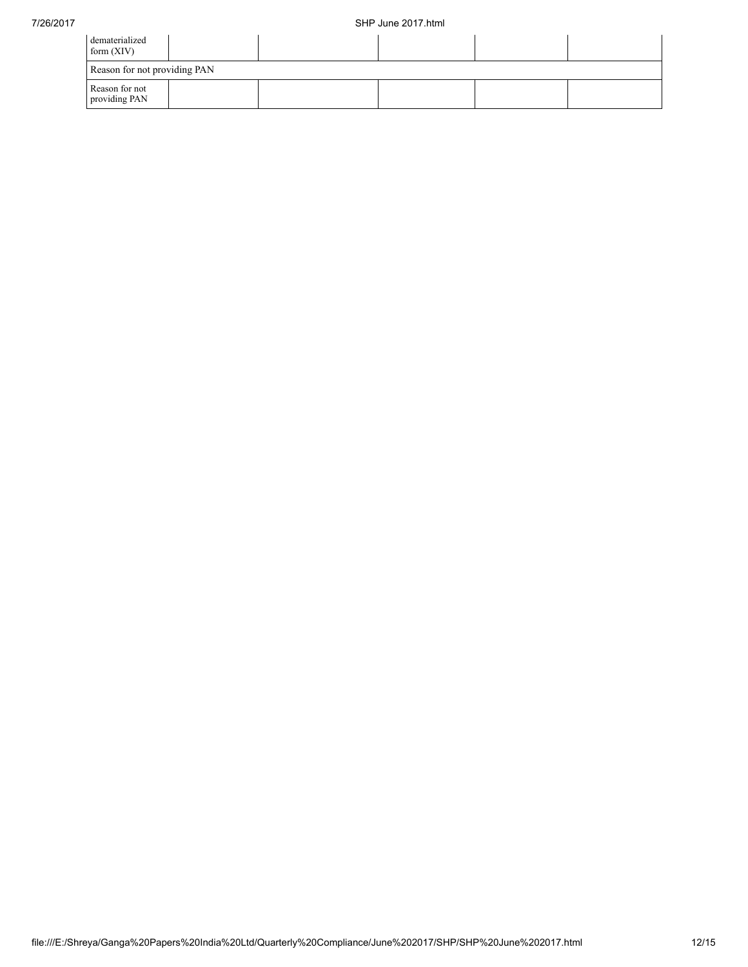| dematerialized<br>form $(XIV)$  |  |  |  |
|---------------------------------|--|--|--|
| Reason for not providing PAN    |  |  |  |
| Reason for not<br>providing PAN |  |  |  |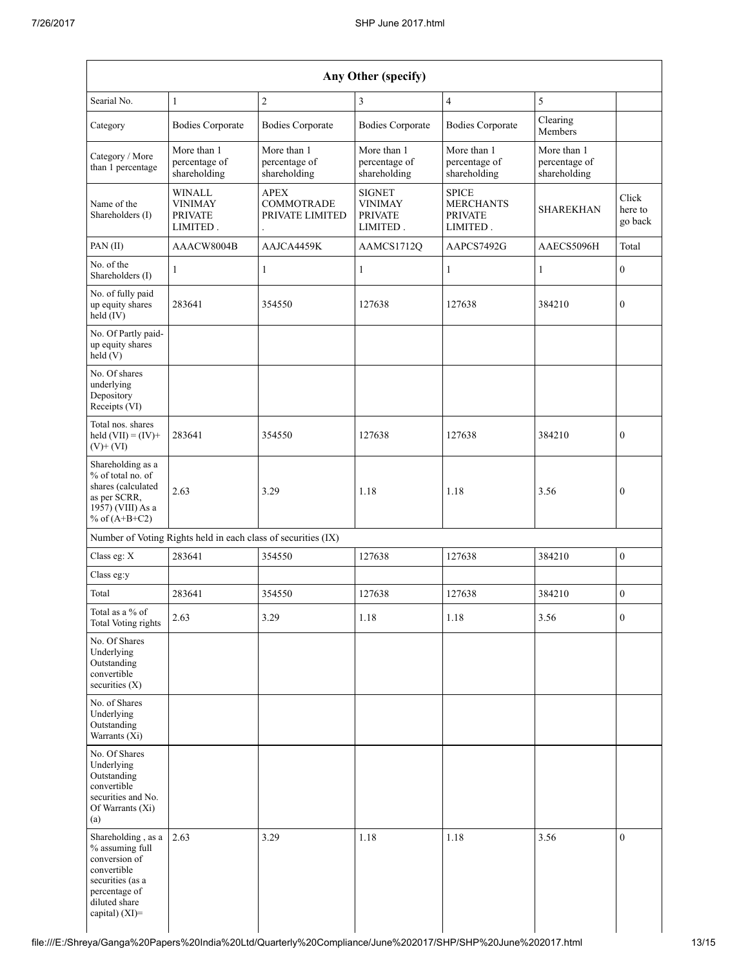| Any Other (specify)                                                                                                                              |                                                               |                                                     |                                                               |                                                                |                                              |                             |  |  |  |  |
|--------------------------------------------------------------------------------------------------------------------------------------------------|---------------------------------------------------------------|-----------------------------------------------------|---------------------------------------------------------------|----------------------------------------------------------------|----------------------------------------------|-----------------------------|--|--|--|--|
| Searial No.                                                                                                                                      | $\mathbf{1}$                                                  | $\overline{c}$                                      | 3                                                             | $\overline{4}$                                                 | 5                                            |                             |  |  |  |  |
| Category                                                                                                                                         | <b>Bodies Corporate</b>                                       | <b>Bodies Corporate</b>                             | <b>Bodies Corporate</b>                                       | <b>Bodies Corporate</b>                                        | Clearing<br>Members                          |                             |  |  |  |  |
| Category / More<br>than 1 percentage                                                                                                             | More than 1<br>percentage of<br>shareholding                  | More than 1<br>percentage of<br>shareholding        | More than 1<br>percentage of<br>shareholding                  | More than 1<br>percentage of<br>shareholding                   | More than 1<br>percentage of<br>shareholding |                             |  |  |  |  |
| Name of the<br>Shareholders (I)                                                                                                                  | <b>WINALL</b><br><b>VINIMAY</b><br><b>PRIVATE</b><br>LIMITED. | <b>APEX</b><br><b>COMMOTRADE</b><br>PRIVATE LIMITED | <b>SIGNET</b><br><b>VINIMAY</b><br><b>PRIVATE</b><br>LIMITED. | <b>SPICE</b><br><b>MERCHANTS</b><br><b>PRIVATE</b><br>LIMITED. | <b>SHAREKHAN</b>                             | Click<br>here to<br>go back |  |  |  |  |
| PAN(II)                                                                                                                                          | AAACW8004B                                                    | AAJCA4459K                                          | AAMCS1712Q                                                    | AAPCS7492G                                                     | AAECS5096H                                   | Total                       |  |  |  |  |
| No. of the<br>Shareholders (I)                                                                                                                   | 1                                                             | 1                                                   | 1                                                             | $\mathbf{1}$                                                   | 1                                            | $\mathbf{0}$                |  |  |  |  |
| No. of fully paid<br>up equity shares<br>held (IV)                                                                                               | 283641                                                        | 354550                                              | 127638                                                        | 127638                                                         | 384210                                       | $\mathbf{0}$                |  |  |  |  |
| No. Of Partly paid-<br>up equity shares<br>held(V)                                                                                               |                                                               |                                                     |                                                               |                                                                |                                              |                             |  |  |  |  |
| No. Of shares<br>underlying<br>Depository<br>Receipts (VI)                                                                                       |                                                               |                                                     |                                                               |                                                                |                                              |                             |  |  |  |  |
| Total nos. shares<br>held $(VII) = (IV) +$<br>$(V)$ + $(VI)$                                                                                     | 283641                                                        | 354550                                              | 127638                                                        | 127638                                                         | 384210                                       | $\mathbf{0}$                |  |  |  |  |
| Shareholding as a<br>% of total no. of<br>shares (calculated<br>as per SCRR,<br>1957) (VIII) As a<br>% of $(A+B+C2)$                             | 2.63                                                          | 3.29                                                | 1.18                                                          | 1.18                                                           | 3.56                                         | $\mathbf{0}$                |  |  |  |  |
|                                                                                                                                                  | Number of Voting Rights held in each class of securities (IX) |                                                     |                                                               |                                                                |                                              |                             |  |  |  |  |
| Class eg: X                                                                                                                                      | 283641                                                        | 354550                                              | 127638                                                        | 127638                                                         | 384210                                       | $\mathbf{0}$                |  |  |  |  |
| Class eg:y                                                                                                                                       |                                                               |                                                     |                                                               |                                                                |                                              |                             |  |  |  |  |
| Total                                                                                                                                            | 283641                                                        | 354550                                              | 127638                                                        | 127638                                                         | 384210                                       | $\boldsymbol{0}$            |  |  |  |  |
| Total as a % of<br>Total Voting rights                                                                                                           | 2.63                                                          | 3.29                                                | 1.18                                                          | 1.18                                                           | 3.56                                         | $\boldsymbol{0}$            |  |  |  |  |
| No. Of Shares<br>Underlying<br>Outstanding<br>convertible<br>securities $(X)$                                                                    |                                                               |                                                     |                                                               |                                                                |                                              |                             |  |  |  |  |
| No. of Shares<br>Underlying<br>Outstanding<br>Warrants (Xi)                                                                                      |                                                               |                                                     |                                                               |                                                                |                                              |                             |  |  |  |  |
| No. Of Shares<br>Underlying<br>Outstanding<br>convertible<br>securities and No.<br>Of Warrants (Xi)<br>(a)                                       |                                                               |                                                     |                                                               |                                                                |                                              |                             |  |  |  |  |
| Shareholding, as a<br>% assuming full<br>conversion of<br>convertible<br>securities (as a<br>percentage of<br>diluted share<br>capital) $(XI)$ = | 2.63                                                          | 3.29                                                | 1.18                                                          | 1.18                                                           | 3.56                                         | $\boldsymbol{0}$            |  |  |  |  |